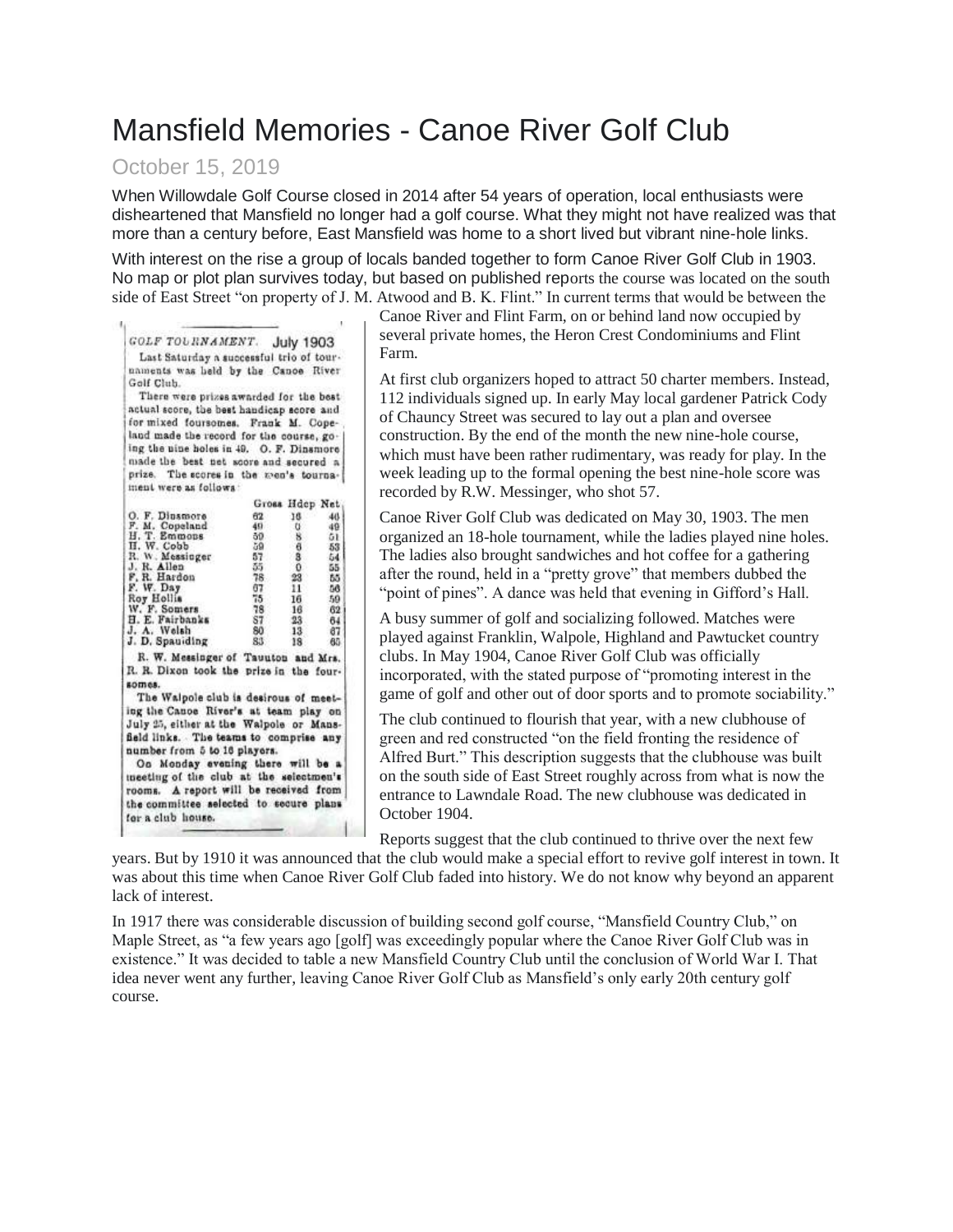## Mansfield Memories - Canoe River Golf Club

## October 15, 2019

When Willowdale Golf Course closed in 2014 after 54 years of operation, local enthusiasts were disheartened that Mansfield no longer had a golf course. What they might not have realized was that more than a century before, East Mansfield was home to a short lived but vibrant nine-hole links.

With interest on the rise a group of locals banded together to form Canoe River Golf Club in 1903. No map or plot plan survives today, but based on published reports the course was located on the south side of East Street "on property of J. M. Atwood and B. K. Flint." In current terms that would be between the

| GOLF TOURNAMENT. July 1903                |            |                    |           |
|-------------------------------------------|------------|--------------------|-----------|
| Last Saturday a successful trio of tour-  |            |                    |           |
| naments was held by the Canoe River       |            |                    |           |
| Golf Club.                                |            |                    |           |
| There were prizes awarded for the best    |            |                    |           |
| actual score, the best handicap score and |            |                    |           |
| for mixed foursomes. Frank M. Cope-       |            |                    |           |
| land made the record for the course, go-  |            |                    |           |
| ing the nine holes in 49. O. F. Dinsmore  |            |                    |           |
| made the best net score and secured a     |            |                    |           |
| prize. The scores in the men's tourna-    |            |                    |           |
| ment were as follows:                     |            |                    |           |
|                                           |            |                    |           |
|                                           |            | Gross Hdep Net     |           |
| O. F. Diusmore                            | 62         | 16                 | 40.       |
| F. M. Copeland<br>H. T. Emmons            | 49.<br>50. | u<br>8.            | 49<br>51. |
|                                           | 59         | -6                 | 53        |
| H. W. Cobb<br>R. W. Messinger             | 57         | 3                  | 54        |
| J. R. Allen                               | 35.        | $\Omega$           | 55        |
| F. R. Hardon<br>F. W. Day                 | 78.<br>67  | $23^{\circ}$<br>11 | 65<br>56  |
|                                           | 75         | 16                 | 59        |
| Roy Hollis<br>W. F. Somers                | 78         | 16                 | 62        |
| H. E. Fairbanks                           | 87         | 23                 | 64        |
| J. A. Welsh                               | 80         | 13                 | 67        |
| J. D. Spauiding                           | 83         | 18                 | 80        |
| R. W. Messinger of Tauuton and Mrs.       |            |                    |           |
| R. R. Dixon took the prize in the four-   |            |                    |           |
| somes.                                    |            |                    |           |
| The Walpole club is desirous of meet-     |            |                    |           |
| ing the Canoe River's at team play on     |            |                    |           |
| July 25, either at the Walpole or Mans-   |            |                    |           |
| field links. The teams to comprise any    |            |                    |           |
| number from 5 to 16 players.              |            |                    |           |
| Oo Monday evening there will be a         |            |                    |           |
| meeting of the club at the selectmen's    |            |                    |           |
| rooms. A report will be received from     |            |                    |           |
| the committee selected to secure plans    |            |                    |           |
| for a club house.                         |            |                    |           |
|                                           |            |                    |           |

Canoe River and Flint Farm, on or behind land now occupied by several private homes, the Heron Crest Condominiums and Flint Farm.

At first club organizers hoped to attract 50 charter members. Instead, 112 individuals signed up. In early May local gardener Patrick Cody of Chauncy Street was secured to lay out a plan and oversee construction. By the end of the month the new nine-hole course, which must have been rather rudimentary, was ready for play. In the week leading up to the formal opening the best nine-hole score was recorded by R.W. Messinger, who shot 57.

Canoe River Golf Club was dedicated on May 30, 1903. The men organized an 18-hole tournament, while the ladies played nine holes. The ladies also brought sandwiches and hot coffee for a gathering after the round, held in a "pretty grove" that members dubbed the "point of pines". A dance was held that evening in Gifford's Hall.

A busy summer of golf and socializing followed. Matches were played against Franklin, Walpole, Highland and Pawtucket country clubs. In May 1904, Canoe River Golf Club was officially incorporated, with the stated purpose of "promoting interest in the game of golf and other out of door sports and to promote sociability."

The club continued to flourish that year, with a new clubhouse of green and red constructed "on the field fronting the residence of Alfred Burt." This description suggests that the clubhouse was built on the south side of East Street roughly across from what is now the entrance to Lawndale Road. The new clubhouse was dedicated in October 1904.

Reports suggest that the club continued to thrive over the next few

years. But by 1910 it was announced that the club would make a special effort to revive golf interest in town. It was about this time when Canoe River Golf Club faded into history. We do not know why beyond an apparent lack of interest.

In 1917 there was considerable discussion of building second golf course, "Mansfield Country Club," on Maple Street, as "a few years ago [golf] was exceedingly popular where the Canoe River Golf Club was in existence." It was decided to table a new Mansfield Country Club until the conclusion of World War I. That idea never went any further, leaving Canoe River Golf Club as Mansfield's only early 20th century golf course.